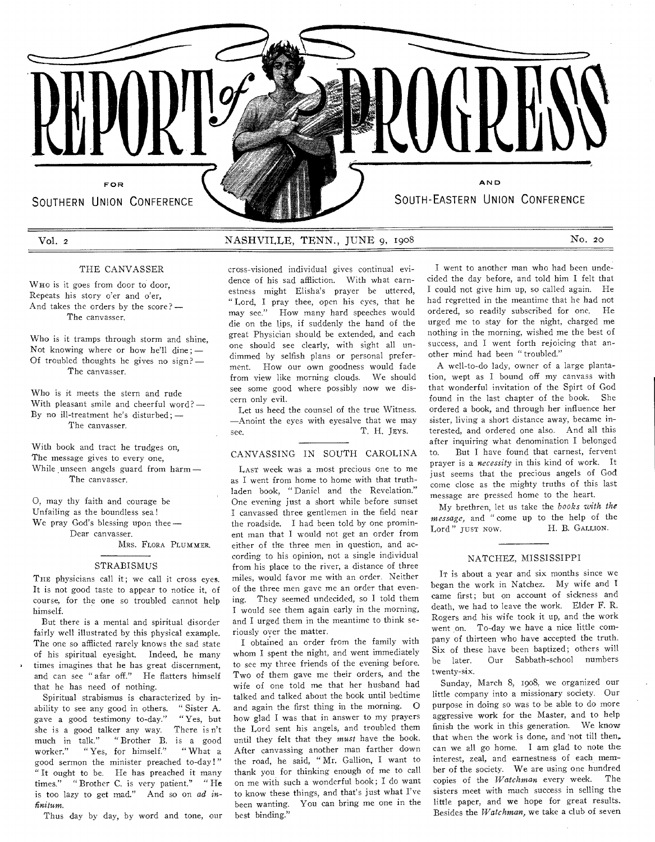SOUTHERN UNION CONFERENCE WELL SOUTH-EASTERN UNION CONFERENCE

# THE CANVASSER

WHO is it goes from door to door, Repeats his story o'er and o'er, And takes the orders by the score? — The canvasser.

Who is it tramps through storm and shine, Not knowing where or how he'll dine ; — Of troubled thoughts he gives no sign?— The canvasser.

Who is it meets the stern and rude With pleasant smile and cheerful word? — By no ill-treatment he's disturbed; — The canvasser.

With book and tract he trudges on, The message gives to every one, While unseen angels guard from harm  $-$ The canvasser.

0, may thy faith and courage be Unfailing as the boundless sea! We pray God's blessing upon thee— Dear canvasser.

MRS. FLORA PLUMMER.

## STRABISMUS

THE physicians call it; we call it cross eyes. It is not good taste to appear to notice it, of course, for the one so troubled cannot help himself.

But there is a mental and spiritual disorder fairly well illustrated by this physical example. The one so afflicted rarely knows the sad state of his spiritual eyesight. Indeed, he many times imagines that he has great discernment, and can see " afar off." He flatters himself that he has need of nothing.

Spiritual strabismus is characterized by inability to see any good in others. "Sister A. save a good testimony to-day." "Yes, but gave a good testimony to-day." "Yes, but<br>she is a good talker any way. There isn't she is a good talker any way. much in talk." "Brother B. is a good worker." " Yes. for himself." "What a worker." " Yes, for himself." good sermon the minister preached to-day!" " It ought to be. He has preached it many times." "Brother C. is very patient." "He is too lazy to get mad." And so on *ad infinitum.* 

Thus day by day, by word and tone, our

Vol. 2 NASHVILLE, TENN., JUNE 9, 1908 No. 20

FOR **AN D AND** 

REPORT **PARAMERIE (PRESS)** 

cross-visioned individual gives continual evidence of his sad affliction. With what earnestness might Elisha's prayer be uttered, " Lord, I pray thee, open his eyes, that he may see." How many hard speeches would die on the lips, if suddenly the hand of the great Physician should be extended, and each one should see clearly, with sight all undimmed by selfish plans or personal preferment. How our own goodness would fade from view like morning clouds. We should see some good where possibly now we discern only evil.

Let us heed the counsel of the true Witness. —Anoint the eyes with eyesalve that we may see. T. H. JEYS.

## CANVASSING IN SOUTH CAROLINA

LAST week was a most precious one to me as I went from home to home with that truthladen book, " Daniel and the Revelation." One evening just a short while before sunset I canvassed three gentlemen in the field near the roadside. I had been told by one prominent man that I would not get an order from either of the three men in question, and according to his opinion, not a single individual from his place to the river, a distance of three miles, would favor me with an order. Neither of the three men gave me an order that evening. They seemed undecided, so I told them I would see them again early in the morning, and I urged them in the meantime to think seriously over the matter.

I obtained an order from the family with whom I spent the night, and went immediately to see my three friends of the evening before. Two of them gave me their orders, and the wife of one told me that her husband had talked and talked about the book until bedtime and again the first thing in the morning. 0 how glad I was that in answer to my prayers the Lord sent his angels, and troubled them until they felt that they *must* have the book. After canvassing another man farther down the road, he said, " Mr. Gallion, I want to thank you for thinking enough of me to call on me with such a wonderful book; I do want to know these things, and that's just what I've been wanting. You can bring me one in the best binding."

I went to another man who had been undecided the day before, and told him I felt that I could not give him up, so called again. He had regretted in the meantime that he had not ordered, so readily subscribed for one. He urged me to stay for the night, charged me nothing in the morning, wished me the best of success, and I went forth rejoicing that another mind had been " troubled."

A well-to-do lady, owner of a large plantation, wept as I bound off my canvass with that wonderful invitation of the Spirt of God found in the last chapter of the book. She ordered a book, and through her influence her sister, living a short distance away, became interested, and ordered one also. And all this after inquiring what denomination I belonged to. But I have found that earnest, fervent prayer is a *necessity* in this kind of work. It just seems that the precious angels of God come close as the mighty truths of this last message are pressed home to the heart.

My brethren, let us take the *books with the message*, and " come up to the help of the Lord" just now. H. B. GALLION. Lord" JUST NOW.

### NATCHEZ, MISSISSIPPI

It is about a year and six months since we began the work in Natchez. My wife and I came first; but on account of sickness and death, we had to leave the work. Elder F. R. Rogers and his wife took it up, and the work went on. To-day we have a nice little company of thirteen who have accepted the truth. Six of these have been baptized; others will be later. Our Sabbath-school numbers twenty-six.

Sunday, March 8, 1908, we organized our little company into a missionary society. Our purpose in doing so was to be able to do more aggressive work for the Master, and to help finish the work in this generation. We know that when the work is done, and not till then, can we all go home. I am glad to note the interest, zeal, and earnestness of each member of the society. We are using one hundred copies of the *Watchman* every week. The sisters meet with much success in selling the little paper, and we hope for great results. Besides the *Watchman,* we take a club of seven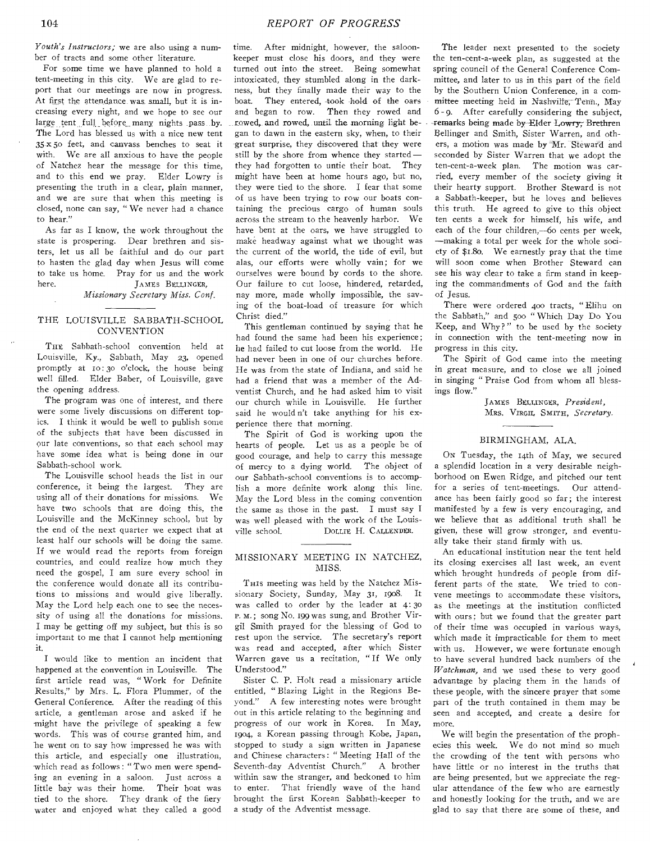*Youth's Instructors;* we are also using a number of tracts and some other literature.

For some time we have planned to hold a tent-meeting in this city. We are glad to report that our meetings are now in progress. At first the attendance was small, but it is increasing every night, and we hope to see our large tent full before many nights .pass by. The Lord has blessed us with a nice new tent 35-x 5o feet, and canvass benches to seat it with. We are all anxious to have the people of Natchez hear the message for this time, and to this end we pray. Elder Lowry is presenting the truth in a clear, plain manner, and we are sure that when this meeting is closed, none can say, " We never had a chance to hear."

As far as I know, the work throughout the state is prospering. Dear brethren and sisters, let us all be faithful and do our part to hasten the glad day when Jesus will come to take us home. Pray for us and the work here. JAMES BELLINGER,

*Missionary Secretary Miss. Conf.* 

# THE LOUISVILLE SABBATH-SCHOOL **CONVENTION**

THE Sabbath-school convention held at Louisville, Ky., Sabbath, May 23, opened promptly at 10:30 o'clock, the house being well filled. Elder Baber, of Louisville, gave the opening address.

The program was one of interest, and there were some lively discussions on different topics. I think it would be well to publish some of the subjects that have been discussed in our late conventions, so that each school may have some idea what is being done in our Sabbath-school work.

The Louisville school heads the list in our conference, it being the largest. They are using all of their donations for missions. We have two schools that are doing this, the Louisville and the McKinney school, but by the end of the next quarter we expect that at least half our schools will be doing the same. If we would read the reports from foreign countries, and could realize how much they need the gospel, I am sure every school in the conference would donate all its contributions to missions and would give liberally. May the Lord help each one to see the necessity of using all the donations for missions. I may be getting off my subject, but this is so important to me that I cannot help mentioning it.

I would like to mention an incident that happened at the convention in Louisville. The first article read was, " Work for Definite Results," by Mrs. L. Flora Plummer, of the General Conference. After the reading of this article, a gentleman arose and asked if he might have the privilege of speaking a few words. This was of course granted him, and he went on to say how impressed he was with this article, and especially one illustration, -which read as follows : " Two men were spending an evening in a saloon. Just across a little bay was their home. Their boat was tied to the shore. They drank of the fiery water and enjoyed what they called a good

time. After midnight, however, the saloonkeeper must close his doors, and they were turned out into the street. Being somewhat intoxicated, they stumbled along in the darkness, but they finally made their way to the boat. They entered, took hold of the oars and began to row. Then they rowed and rowed, and rowed, until the morning light began to dawn in the eastern sky, when, to their great surprise, they discovered that they were still by the shore from whence they started they had forgotten to untie their boat. They might have been at home hours ago, but no, they were tied to the shore. I fear that some of us have been trying to row our boats containing the precious cargo of human souls across the stream to the heavenly harbor. We have bent at the oars, we have struggled to make headway against what we thought was the current of the world, the tide of evil, but alas, our efforts were wholly vain; for we ourselves were bound by cords to the shore. Our failure to cut loose, hindered, retarded, nay more, made wholly impossible, the saving of the boat-load of treasure for which Christ died."

This gentleman continued by saying that he had found the same had been his experience; he had failed to cut loose from the world. He had never been in one of our churches before. He was from the state of Indiana, and said he had a friend that was a member of the Adventist Church, and he had asked him to visit our church while in Louisville. He further said he would n't take anything for his experience there that morning.

The Spirit of God is working upon the hearts of people. Let us as a people be of good courage, and help to carry this message of mercy to a dying world. The object of our Sabbath-school conventions is to accomplish a more definite work along this line. May the Lord bless in the coming convention the same as those in the past. I must say I was well pleased with the work of the Louisville school. DOLLIE H. CALLENDER.

# MISSIONARY MEETING IN NATCHEZ, MISS.

THIS meeting was held by the Natchez Missionary Society, Sunday, May 31, 1908. It was called to order by the leader at 4:30 P. M.; song No. 199 was sung, and Brother Virgil Smith prayed for the blessing of God to rest upon the service. The secretary's report was read and accepted, after which Sister Warren gave us a recitation, " If We only Understood."

Sister C. P. Holt read a missionary article entitled, " Blazing Light in the Regions Beyond." A few interesting notes were brought out in this article relating to the beginning and progress of our work in Korea. In May, 1904, a Korean passing through Kobe, Japan, stopped to study a sign written in Japanese and Chinese characters : " Meeting Hall of the Seventh-day Adventist Church." A brother within saw the stranger, and beckoned to him to enter. That friendly wave of the hand brought the first Korean Sabbath-keeper to a study of the Adventist message.

The leader next presented to the society the ten-cent-a-week plan, as suggested at the spring council of the General Conference Committee, and later to us in this part of the field by the Southern Union Conference, in a committee meeting held in Nashville, Tenn., May 6 - 9. After carefully considering the subject, remarks being made by Elder Lowry; Brethren Bellinger and Smith, Sister Warren, and others, a motion was made by Mr. Steward and seconded by Sister Warren that we adopt the ten-cent-a-week plan. The motion was carried, every member of the society giving it their hearty support. Brother Steward is not a Sabbath-keeper, but he loves and believes this truth. He agreed to give to this object ten cents a week for himself, his wife, and each of the four children,-60 cents per week, —making a total per week for the whole society of \$1.80. We earnestly pray that the time will soon come when Brother Steward can see his way clear to take a firm stand in keeping the commandments of God and the faith of Jesus.

There were ordered 400 tracts, " Elihu on the Sabbath," and 500 " Which Day Do You Keep, and Why?" to be used by the society in connection with the tent-meeting now in progress in this city.

The Spirit of God came into the meeting in great measure, and to close we all joined in singing " Praise God from whom all blessings flow."

> JAMES BELLINGER, *President,*  MRS. VIRGIL SMITH, *Secretary.*

## BIRMINGHAM, ALA.

ON Tuesday, the 14th of May, we secured a splendid location in a very desirable neighborhood on Ewen Ridge, and pitched our tent for a series of tent-meetings. Our attendance has been fairly good so far; the interest manifested by a few is very encouraging, and we believe that as additional truth shall be given, these will grow stronger, and eventually take their stand firmly with us.

An educational institution near the tent held its closing exercises all last week, an event which brought hundreds of people from different parts of the state. We tried to convene meetings to accommodate these visitors, as the meetings at the institution conflicted with ours; but we found that the greater part of their time was occupied in various ways, which made it impracticable for them to meet with us. However, we were fortunate enough to have several hundred back numbers of the *Watchman,* and we used these to very good advantage by placing them in the hands of these people, with the sincere prayer that some part of the truth contained in them may be seen and accepted, and create a desire for more.

We will begin the presentation of the prophecies this week. We do not mind so much the crowding of the tent with persons who have little or no interest in the truths that are being presented, but we appreciate the regular attendance of the few who are earnestly and honestly looking for the truth, and we are glad to say that there are some of these, and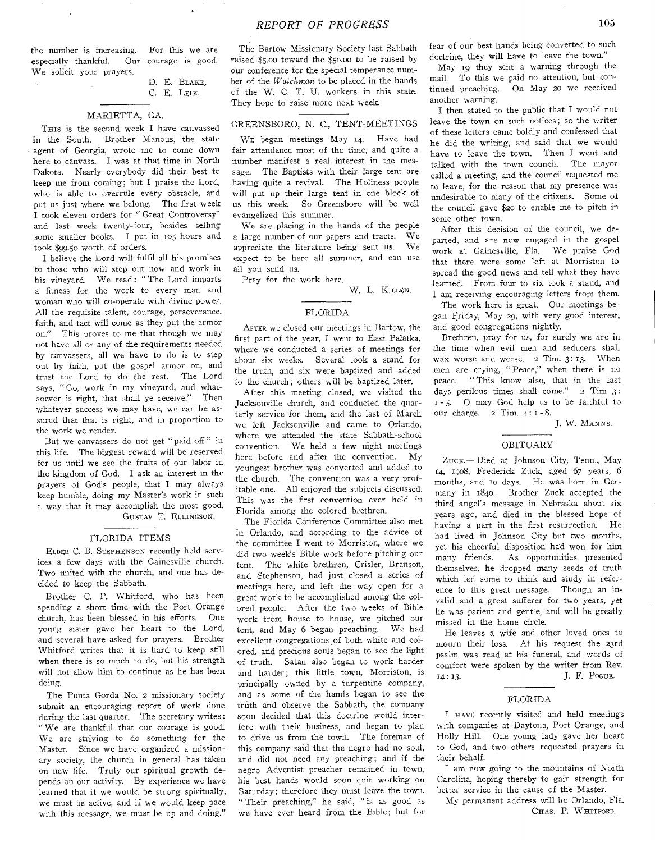the number is increasing. For this we are especially thankful. Our courage is good. We solicit your prayers.

## D. E. BLAKE, C. E. LEIK.

### MARIETTA, GA.

THIS is the second week I have canvassed in the South. Brother Manous, the state agent of Georgia, wrote me to come down here to canvass. I was at that time in North Dakota. Nearly everybody did their best to keep me from coming; but I praise the Lord, who is able to overrule every obstacle, and put us just where we belong. The first week I took eleven orders for " Great Controversy" and last week twenty-four, besides selling some smaller books. I put in 105 hours and took \$99.50 worth of orders.

I believe the Lord will fulfil all his promises to those who will step out now and work in his vineyard. We read: "The Lord imparts a fitness for the work to every man and woman who will co-operate with divine power. All the requisite talent, courage, perseverance, faith, and tact will come as they put the armor on." This proves to me that though we may not have all or any of the requirements needed by canvassers, all we have to do is to step out by faith, put the gospel armor on, and trust the Lord to do the rest. The Lord says, " Go, work in my vineyard, and whatsoever is right, that shall ye receive." Then whatever success we may have, we can be assured that that is right, and in proportion to the work we render.

But we canvassers do not get " paid off " in this life. The biggest reward will be reserved for us until we see the fruits of our labor in the kingdom of God. I ask an interest in the prayers of God's people, that I may always keep humble, doing my Master's work in such a way that it may accomplish the most good. GUSTAV T. ELLINGSON.

### FLORIDA ITEMS

ELDER C. B. STEPHENSON recently held services a few days with the Gainesville church. Two united with the church, and one has decided to keep the Sabbath.

Brother C. P. Whitford, who has been spending a short time with the Port Orange church, has been blessed in his efforts. One church, has been blessed in his efforts. young sister gave her heart to the Lord, and several have asked for prayers. Brother Whitford writes that it is hard to keep still when there is so much to do, but his strength will not allow him to continue as he has been doing.

The Punta Gorda No. 2 missionary society submit an encouraging report of work done during the last quarter. The secretary writes: " We are thankful that our courage is good. We are striving to do something for the Master. Since we have organized a missionary society, the church in general has taken on new life. Truly our spiritual growth depends on our activity. By experience we have learned that if we would be strong spiritually, we must be active, and if we would keep pace with this message, we must be up and doing."

The Bartow Missionary Society last Sabbath raised \$5.00 toward the \$5o.00 to be raised by our conference for the special temperance number of the *Watchman* to be placed in the hands of the W. C. T. U. workers in this state. They hope to raise more next week.

# GREENSBORO, N. C., TENT-MEETINGS

WE began meetings May 14. Have had fair attendance most of the time, and quite a number manifest a real interest in the message. The Baptists with their large tent are having quite a revival. The Holiness people will put up their large tent in one block of us this week. So Greensboro will be well evangelized this summer.

We are placing in the hands of the people a large number of our papers and tracts. We appreciate the literature being sent us. We expect to be here all summer, and can use all you send us.

Pray for the work here.

W. L. KILLEN.

#### FLORIDA

AFTER we closed our meetings in Bartow, the first part of the year, I went to East Palatka, where we conducted a series of meetings for about six weeks. Several took a stand for the truth, and six were baptized and added to the church; others will be baptized later.

After this meeting closed, we visited the Jacksonville church, and conducted the quarterly service for them, and the last of March we left Jacksonville and came to Orlando, where we attended the state Sabbath-school convention. We held a few night meetings here before and after the convention. My youngest brother was converted and added to the church. The convention was a very profitable one. All enjoyed the subjects discussed. This was the first convention ever held in Florida among the colored brethren.

The Florida Conference Committee also met in Orlando, and according to the advice of the committee I went to Morriston, where we did two week's Bible work before pitching our tent. The white brethren, Crisler, Branson, and Stephenson, had just closed a series of meetings here, and left the way open for a great work to be accomplished among the colored people. After the two weeks of Bible work from house to house, we pitched our tent, and May 6 began preaching. We had excellent congregations of both white and colored, and precious souls began to see the light of truth. Satan also began to work harder and harder; this little town, Morriston, is principally owned by a turpentine company, and as some of the hands began to see the truth and observe the Sabbath, the company soon decided that this doctrine would interfere with their business, and began to plan to drive us from the town. The foreman of this company said that the negro had no soul, and did not need any preaching; and if the negro Adventist preacher remained in town, his best hands would soon quit working on Saturday; therefore they must leave the town. " Their preaching," he said, " is as good as we have ever heard from the Bible; but for

fear of our best hands being converted to such doctrine, they will have to leave the town."

May 19 they sent a warning through the mail. To this we paid no attention, but continued preaching. On May 20 we received another warning.

I then stated to the public that I would not leave the town on such notices; so the writer of these letters came boldly and confessed that he did the writing, and said that we would have to leave the town. Then I went and talked with the town council. The mayor called a meeting, and the council requested me to leave, for the reason that my presence was undesirable to many of the citizens. Some of the council gave \$20 to enable me to pitch in some other town.

After this decision of the council, we departed, and are now engaged in the gospel work at Gainesville, Fla. We praise God that there were some left at Morriston to spread the good news and tell what they have learned. From four to six took a stand, and I am receiving encouraging letters from them.

The work here is great. Our meetings began Friday, May 29, with very good interest, and good congregations nightly.

Brethren, pray for us, for surely we are in the time when evil men and seducers shall wax worse and worse. 2 Tim. 3: 13. When men are crying, " Peace," when there is no peace. " This know also, that in the last days perilous times shall come." 2 Tim 3: - 5. 0 may God help us to be faithful to our charge.  $2$  Tim.  $4:1-8$ .

J. W. MANNS.

## OBITUARY

Zuck.- Died at Johnson City, Tenn., May 14, 1908, Frederick Zuck, aged 67 years, 6 months, and io days. He was born in Germany in 1840. Brother Zuck accepted the third angel's message in Nebraska about six years ago, and died in the blessed hope of having a part in the first resurrection. He had lived in Johnson City but two months, yet his cheerful disposition had won for him many friends. As opportunities presented themselves, he dropped many seeds of truth which led some to think and study in reference to this great message. Though an invalid and a great sufferer for two years, yet he was patient and gentle, and will be greatly missed in the home circle.

He leaves a wife and other loved ones to mourn their loss. At his request the 23rd psalm was read at his funeral, and words of comfort were spoken by the writer from Rev. 14: 13. J. F. Pocue.

### FLORIDA

I HAVE recently visited and held meetings with companies at Daytona, Port Orange, and Holly Hill. One young lady gave her heart to God, and two others requested prayers in their behalf.

I am now going to the mountains of North Carolina, hoping thereby to gain strength for better service in the cause of the Master.

My permanent address will be Orlando, Fla. CHAS. P. WHITFORD.